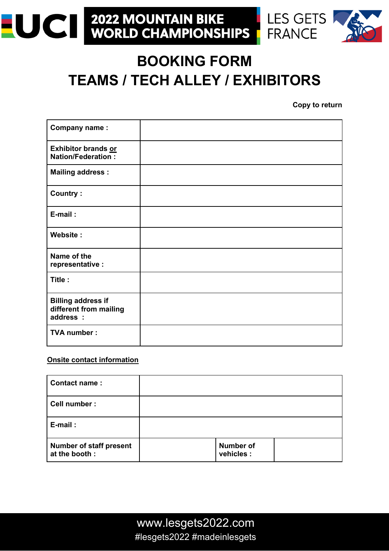#### **2022 MOUNTAIN BIKE<br>WORLD CHAMPIONSHIPS** LES GETS **EUCI FRANCE**



# **BOOKING FORM TEAMS / TECH ALLEY / EXHIBITORS**

**Copy to return**

| Company name:                                                    |  |
|------------------------------------------------------------------|--|
| Exhibitor brands or<br><b>Nation/Federation:</b>                 |  |
| <b>Mailing address:</b>                                          |  |
| <b>Country:</b>                                                  |  |
| E-mail:                                                          |  |
| Website:                                                         |  |
| Name of the<br>representative :                                  |  |
| Title:                                                           |  |
| <b>Billing address if</b><br>different from mailing<br>address : |  |
| <b>TVA number:</b>                                               |  |

### **Onsite contact information**

| <b>Contact name:</b>                            |                                |  |
|-------------------------------------------------|--------------------------------|--|
| Cell number :                                   |                                |  |
| E-mail:                                         |                                |  |
| <b>Number of staff present</b><br>at the booth: | <b>Number of</b><br>vehicles : |  |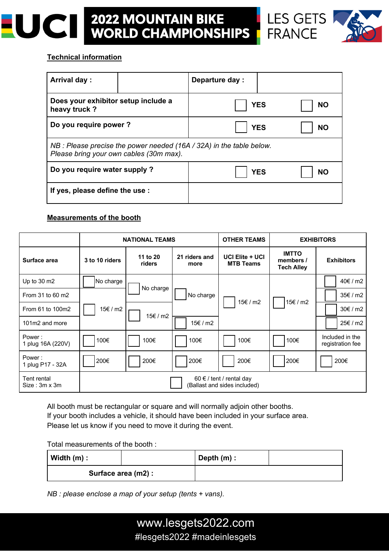



#### **Technical information**

| <b>Arrival day:</b>                                                                                               |  | Departure day: |           |  |
|-------------------------------------------------------------------------------------------------------------------|--|----------------|-----------|--|
| Does your exhibitor setup include a<br>heavy truck?                                                               |  | <b>YES</b>     | <b>NO</b> |  |
| Do you require power?                                                                                             |  | <b>YES</b>     | <b>NO</b> |  |
| NB : Please precise the power needed $(16A / 32A)$ in the table below.<br>Please bring your own cables (30m max). |  |                |           |  |
| Do you require water supply?                                                                                      |  | <b>YES</b>     | NΟ        |  |
| If yes, please define the use :                                                                                   |  |                |           |  |

#### **Measurements of the booth**

|                                      | <b>NATIONAL TEAMS</b>                                        |                    | <b>OTHER TEAMS</b>    |                                     | <b>EXHIBITORS</b>                              |                                     |
|--------------------------------------|--------------------------------------------------------------|--------------------|-----------------------|-------------------------------------|------------------------------------------------|-------------------------------------|
| Surface area                         | 3 to 10 riders                                               | 11 to 20<br>riders | 21 riders and<br>more | UCI Elite + UCI<br><b>MTB Teams</b> | <b>IMTTO</b><br>members /<br><b>Tech Alley</b> | <b>Exhibitors</b>                   |
| Up to 30 m2                          | No charge                                                    | No charge          |                       |                                     |                                                | 40€/m2                              |
| From 31 to 60 m2                     |                                                              |                    | No charge             | 15€ / m2                            | 15€/m2                                         | 35€/m2                              |
| From 61 to 100m2                     | 15€/m2                                                       |                    |                       |                                     |                                                | 30€/m2                              |
| 101m2 and more                       |                                                              | 15€ / m2           | 15€/m2                |                                     |                                                | 25€/m2                              |
| Power:<br>1 plug 16A (220V)          | 100€                                                         | 100€               | 100€                  | 100€                                | 100€                                           | Included in the<br>registration fee |
| Power:<br>1 plug P17 - 32A           | 200€                                                         | 200€               | 200€                  | 200€                                | 200€                                           | 200€                                |
| Tent rental<br>$Size : 3m \times 3m$ | $60 \in$ / tent / rental day<br>(Ballast and sides included) |                    |                       |                                     |                                                |                                     |

All booth must be rectangular or square and will normally adjoin other booths. If your booth includes a vehicle, it should have been included in your surface area. Please let us know if you need to move it during the event.

Total measurements of the booth :

| Width $(m)$ :       |  | Depth $(m)$ : |  |
|---------------------|--|---------------|--|
| Surface area (m2) : |  |               |  |

*NB : please enclose a map of your setup (tents + vans).*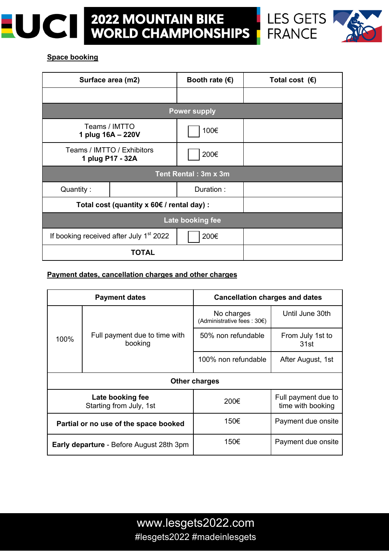





## **Space booking**

| Surface area (m2)                                           |                      | Booth rate $(\epsilon)$ | Total cost $(\epsilon)$ |  |  |
|-------------------------------------------------------------|----------------------|-------------------------|-------------------------|--|--|
|                                                             |                      |                         |                         |  |  |
|                                                             |                      | <b>Power supply</b>     |                         |  |  |
| Teams / IMTTO<br>1 plug 16A - 220V                          |                      | 100€                    |                         |  |  |
| Teams / IMTTO / Exhibitors<br>1 plug P17 - 32A              |                      | 200€                    |                         |  |  |
|                                                             | Tent Rental: 3m x 3m |                         |                         |  |  |
| Quantity:                                                   |                      | Duration:               |                         |  |  |
| Total cost (quantity x 60€ / rental day) :                  |                      |                         |                         |  |  |
| Late booking fee                                            |                      |                         |                         |  |  |
| If booking received after July 1 <sup>st</sup> 2022<br>200€ |                      |                         |                         |  |  |
| <b>TOTAL</b>                                                |                      |                         |                         |  |  |

#### **Payment dates, cancellation charges and other charges**

| <b>Payment dates</b>                            |                                          | <b>Cancellation charges and dates</b>     |                                          |  |
|-------------------------------------------------|------------------------------------------|-------------------------------------------|------------------------------------------|--|
| 100%                                            | Full payment due to time with<br>booking | No charges<br>(Administrative fees : 30€) | Until June 30th                          |  |
|                                                 |                                          | 50% non refundable                        | From July 1st to<br>31st                 |  |
|                                                 |                                          | 100% non refundable                       | After August, 1st                        |  |
| <b>Other charges</b>                            |                                          |                                           |                                          |  |
| Late booking fee<br>Starting from July, 1st     |                                          | 200€                                      | Full payment due to<br>time with booking |  |
| Partial or no use of the space booked           |                                          | 150€                                      | Payment due onsite                       |  |
| <b>Early departure</b> - Before August 28th 3pm |                                          | 150€                                      | Payment due onsite                       |  |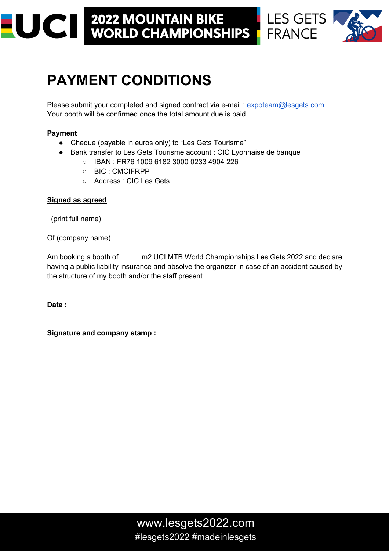# **2022 MOUNTAIN BIKE<br>WORLD CHAMPIONSHIPS** EUCI I



**FRANCE** 

# **PAYMENT CONDITIONS**

Please submit your completed and signed contract via e-mail : expoteam@lesgets.com Your booth will be confirmed once the total amount due is paid.

# **Payment**

- Cheque (payable in euros only) to "Les Gets Tourisme"
- Bank transfer to Les Gets Tourisme account : CIC Lyonnaise de banque
	- IBAN : FR76 1009 6182 3000 0233 4904 226
	- BIC : CMCIFRPP
	- Address : CIC Les Gets

## **Signed as agreed**

I (print full name),

Of (company name)

Am booking a booth of m2 UCI MTB World Championships Les Gets 2022 and declare having a public liability insurance and absolve the organizer in case of an accident caused by the structure of my booth and/or the staff present.

**Date :**

**Signature and company stamp :**

www.lesgets2022.com #lesgets2022 #madeinlesgets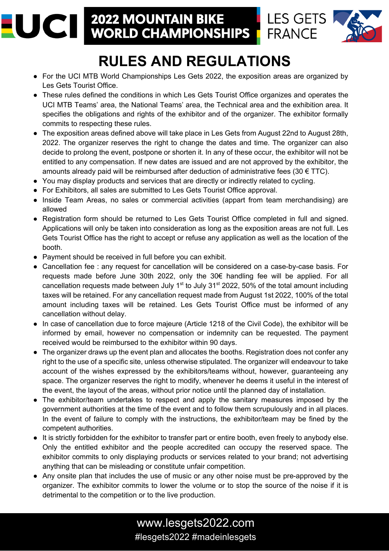# UCI **2022 MOUNTAIN BIKE WORLD CHAMPIONSHIPS**

Ξ



**LES GETS** 

**FRANCE** 

# **RULES AND REGULATIONS**

- For the UCI MTB World Championships Les Gets 2022, the exposition areas are organized by Les Gets Tourist Office.
- These rules defined the conditions in which Les Gets Tourist Office organizes and operates the UCI MTB Teams' area, the National Teams' area, the Technical area and the exhibition area. It specifies the obligations and rights of the exhibitor and of the organizer. The exhibitor formally commits to respecting these rules.
- The exposition areas defined above will take place in Les Gets from August 22nd to August 28th, 2022. The organizer reserves the right to change the dates and time. The organizer can also decide to prolong the event, postpone or shorten it. In any of these occur, the exhibitor will not be entitled to any compensation. If new dates are issued and are not approved by the exhibitor, the amounts already paid will be reimbursed after deduction of administrative fees (30  $\epsilon$  TTC).
- You may display products and services that are directly or indirectly related to cycling.
- For Exhibitors, all sales are submitted to Les Gets Tourist Office approval.
- Inside Team Areas, no sales or commercial activities (appart from team merchandising) are allowed
- Registration form should be returned to Les Gets Tourist Office completed in full and signed. Applications will only be taken into consideration as long as the exposition areas are not full. Les Gets Tourist Office has the right to accept or refuse any application as well as the location of the booth.
- Payment should be received in full before you can exhibit.
- Cancellation fee : any request for cancellation will be considered on a case-by-case basis. For requests made before June 30th 2022, only the 30€ handling fee will be applied. For all cancellation requests made between July  $1<sup>st</sup>$  to July 31 $<sup>st</sup>$  2022, 50% of the total amount including</sup> taxes will be retained. For any cancellation request made from August 1st 2022, 100% of the total amount including taxes will be retained. Les Gets Tourist Office must be informed of any cancellation without delay.
- In case of cancellation due to force majeure (Article 1218 of the Civil Code), the exhibitor will be informed by email, however no compensation or indemnity can be requested. The payment received would be reimbursed to the exhibitor within 90 days.
- The organizer draws up the event plan and allocates the booths. Registration does not confer any right to the use of a specific site, unless otherwise stipulated. The organizer will endeavour to take account of the wishes expressed by the exhibitors/teams without, however, guaranteeing any space. The organizer reserves the right to modify, whenever he deems it useful in the interest of the event, the layout of the areas, without prior notice until the planned day of installation.
- The exhibitor/team undertakes to respect and apply the sanitary measures imposed by the government authorities at the time of the event and to follow them scrupulously and in all places. In the event of failure to comply with the instructions, the exhibitor/team may be fined by the competent authorities.
- It is strictly forbidden for the exhibitor to transfer part or entire booth, even freely to anybody else. Only the entitled exhibitor and the people accredited can occupy the reserved space. The exhibitor commits to only displaying products or services related to your brand; not advertising anything that can be misleading or constitute unfair competition.
- Any onsite plan that includes the use of music or any other noise must be pre-approved by the organizer. The exhibitor commits to lower the volume or to stop the source of the noise if it is detrimental to the competition or to the live production.

# www.lesgets2022.com #lesgets2022 #madeinlesgets